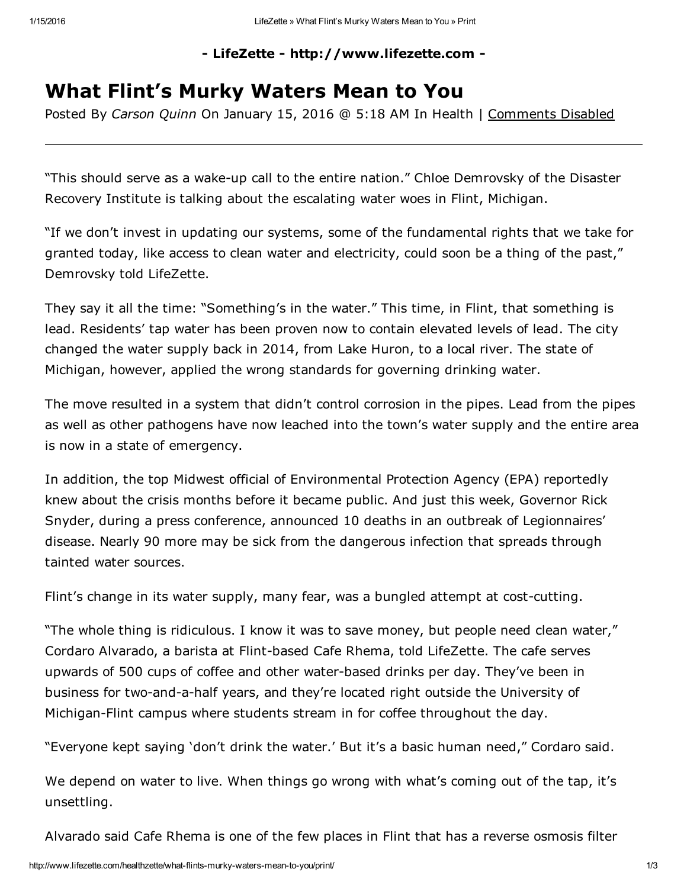## - LifeZette - http://www.lifezette.com -

## What Flint's Murky Waters Mean to You

Posted By *Carson Quinn* On January 15, 2016 @ 5:18 AM In Health | Comments Disabled

"This should serve as a wake-up call to the entire nation." Chloe Demrovsky of the Disaster Recovery Institute is talking about the escalating water woes in Flint, Michigan.

"If we don't invest in updating our systems, some of the fundamental rights that we take for granted today, like access to clean water and electricity, could soon be a thing of the past," Demrovsky told LifeZette.

They say it all the time: "Something's in the water." This time, in Flint, that something is lead. Residents' tap water has been proven now to contain elevated levels of lead. The city changed the water supply back in 2014, from Lake Huron, to a local river. The state of Michigan, however, applied the wrong standards for governing drinking water.

The move resulted in a system that didn't control corrosion in the pipes. Lead from the pipes as well as other pathogens have now leached into the town's water supply and the entire area is now in a state of emergency.

In addition, the top Midwest official of Environmental Protection Agency (EPA) reportedly knew about the crisis months before it became public. And just this week, Governor Rick Snyder, during a press conference, announced 10 deaths in an outbreak of Legionnaires' disease. Nearly 90 more may be sick from the dangerous infection that spreads through tainted water sources.

Flint's change in its water supply, many fear, was a bungled attempt at cost-cutting.

"The whole thing is ridiculous. I know it was to save money, but people need clean water," Cordaro Alvarado, a barista at Flint-based Cafe Rhema, told LifeZette. The cafe serves upwards of 500 cups of coffee and other water-based drinks per day. They've been in business for two-and-a-half years, and they're located right outside the University of Michigan-Flint campus where students stream in for coffee throughout the day.

"Everyone kept saying 'don't drink the water.' But it's a basic human need," Cordaro said.

We depend on water to live. When things go wrong with what's coming out of the tap, it's unsettling.

Alvarado said Cafe Rhema is one of the few places in Flint that has a reverse osmosis filter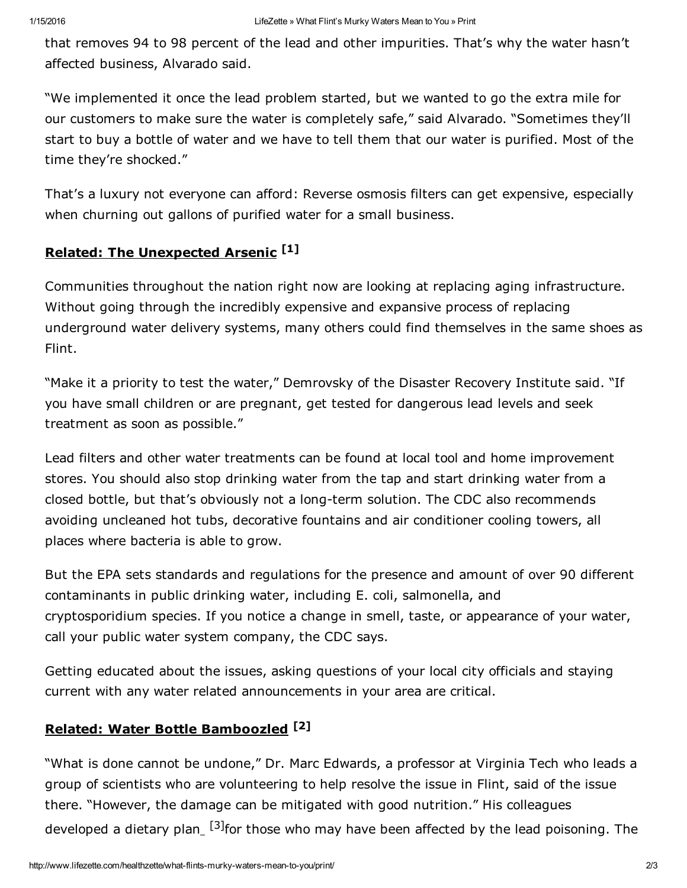that removes 94 to 98 percent of the lead and other impurities. That's why the water hasn't affected business, Alvarado said.

"We implemented it once the lead problem started, but we wanted to go the extra mile for our customers to make sure the water is completely safe," said Alvarado. "Sometimes they'll start to buy a bottle of water and we have to tell them that our water is purified. Most of the time they're shocked."

That's a luxury not everyone can afford: Reverse osmosis filters can get expensive, especially when churning out gallons of purified water for a small business.

## Related: The [Unexpected](http://www.lifezette.com/healthzette/that-unexpected-arsenic/) Arsenic<sup>[1]</sup>

Communities throughout the nation right now are looking at replacing aging infrastructure. Without going through the incredibly expensive and expansive process of replacing underground water delivery systems, many others could find themselves in the same shoes as Flint.

"Make it a priority to test the water," Demrovsky of the Disaster Recovery Institute said. "If you have small children or are pregnant, get tested for dangerous lead levels and seek treatment as soon as possible."

Lead filters and other water treatments can be found at local tool and home improvement stores. You should also stop drinking water from the tap and start drinking water from a closed bottle, but that's obviously not a long-term solution. The CDC also recommends avoiding uncleaned hot tubs, decorative fountains and air conditioner cooling towers, all places where bacteria is able to grow.

But the EPA sets standards and regulations for the presence and amount of over 90 different contaminants in public drinking water, including E. coli, salmonella, and cryptosporidium species. If you notice a change in smell, taste, or appearance of your water, call your public water system company, the CDC says.

Getting educated about the issues, asking questions of your local city officials and staying current with any water related announcements in your area are critical.

## Related: Water Bottle [Bamboozled](http://www.lifezette.com/healthzette/water-bottle-bamboozled/)<sup>[2]</sup>

"What is done cannot be undone," Dr. Marc Edwards, a professor at Virginia Tech who leads a group of scientists who are volunteering to help resolve the issue in Flint, said of the issue there. "However, the damage can be mitigated with good nutrition." His colleagues developed a dietary plan\_ [3] for those who may have been affected by the lead poisoning. The